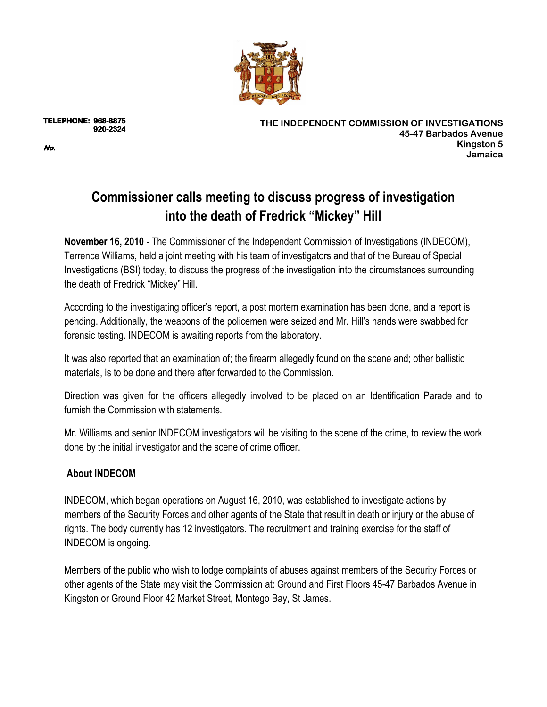

**TELEPHONE: 9 TELEPHONE: 968-8875 920 920-2324** 

**No.\_\_\_\_\_\_\_\_\_\_\_\_\_\_\_\_\_\_ No.**

**THE INDEPENDENT COMMISSION OF INVESTIGATIONS 45-47 Barbados Avenue Kingston 5 Jamaica** 

## **Commissioner calls meeting to discuss progress of investigation into the death of Fredrick "Mickey" Hill**

**November 16, 2010** - The Commissioner of the Independent Commission of Investigations (INDECOM), Terrence Williams, held a joint meeting with his team of investigators and that of the Bureau of Special Investigations (BSI) today, to discuss the progress of the investigation into the circumstances surrounding the death of Fredrick "Mickey" Hill.

According to the investigating officer's report, a post mortem examination has been done, and a report is pending. Additionally, the weapons of the policemen were seized and Mr. Hill's hands were swabbed for forensic testing. INDECOM is awaiting reports from the laboratory.

It was also reported that an examination of; the firearm allegedly found on the scene and; other ballistic materials, is to be done and there after forwarded to the Commission.

Direction was given for the officers allegedly involved to be placed on an Identification Parade and to furnish the Commission with statements.

Mr. Williams and senior INDECOM investigators will be visiting to the scene of the crime, to review the work done by the initial investigator and the scene of crime officer.

## **About INDECOM**

INDECOM, which began operations on August 16, 2010, was established to investigate actions by members of the Security Forces and other agents of the State that result in death or injury or the abuse of rights. The body currently has 12 investigators. The recruitment and training exercise for the staff of INDECOM is ongoing.

Members of the public who wish to lodge complaints of abuses against members of the Security Forces or other agents of the State may visit the Commission at: Ground and First Floors 45-47 Barbados Avenue in Kingston or Ground Floor 42 Market Street, Montego Bay, St James.